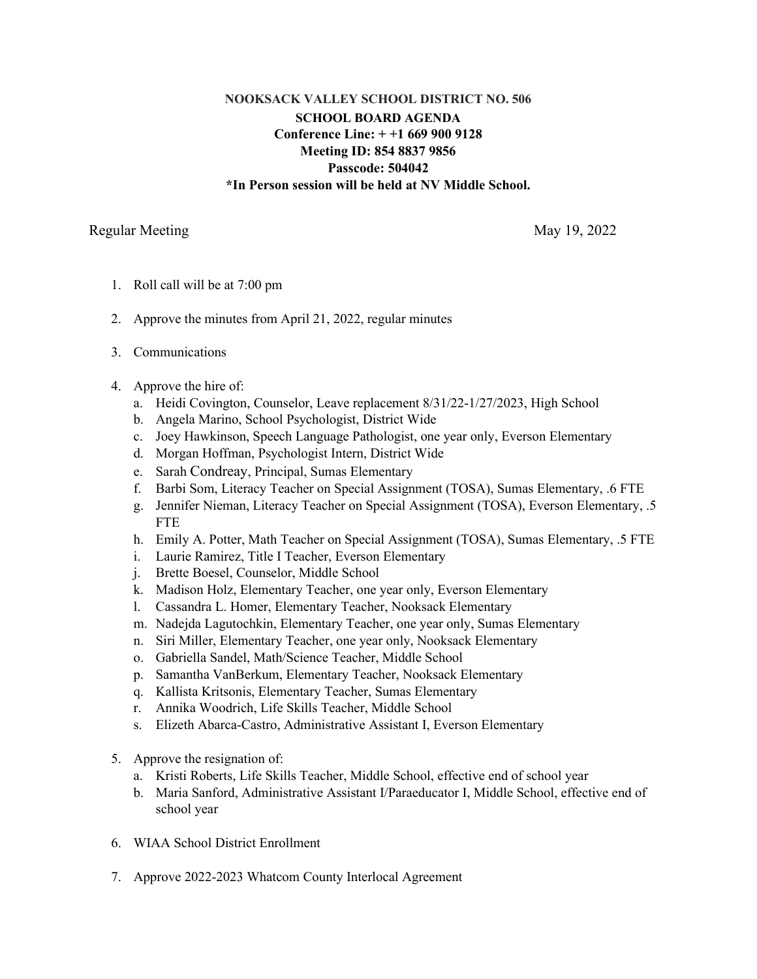## **NOOKSACK VALLEY SCHOOL DISTRICT NO. 506 SCHOOL BOARD AGENDA Conference Line: + +1 669 900 9128 Meeting ID: 854 8837 9856 Passcode: 504042 \*In Person session will be held at NV Middle School.**

## Regular Meeting May 19, 2022

- 1. Roll call will be at 7:00 pm
- 2. Approve the minutes from April 21, 2022, regular minutes
- 3. Communications
- 4. Approve the hire of:
	- a. Heidi Covington, Counselor, Leave replacement 8/31/22-1/27/2023, High School
	- b. Angela Marino, School Psychologist, District Wide
	- c. Joey Hawkinson, Speech Language Pathologist, one year only, Everson Elementary
	- d. Morgan Hoffman, Psychologist Intern, District Wide
	- e. Sarah Condreay, Principal, Sumas Elementary
	- f. Barbi Som, Literacy Teacher on Special Assignment (TOSA), Sumas Elementary, .6 FTE
	- g. Jennifer Nieman, Literacy Teacher on Special Assignment (TOSA), Everson Elementary, .5 **FTE**
	- h. Emily A. Potter, Math Teacher on Special Assignment (TOSA), Sumas Elementary, .5 FTE
	- i. Laurie Ramirez, Title I Teacher, Everson Elementary
	- j. Brette Boesel, Counselor, Middle School
	- k. Madison Holz, Elementary Teacher, one year only, Everson Elementary
	- l. Cassandra L. Homer, Elementary Teacher, Nooksack Elementary
	- m. Nadejda Lagutochkin, Elementary Teacher, one year only, Sumas Elementary
	- n. Siri Miller, Elementary Teacher, one year only, Nooksack Elementary
	- o. Gabriella Sandel, Math/Science Teacher, Middle School
	- p. Samantha VanBerkum, Elementary Teacher, Nooksack Elementary
	- q. Kallista Kritsonis, Elementary Teacher, Sumas Elementary
	- r. Annika Woodrich, Life Skills Teacher, Middle School
	- s. Elizeth Abarca-Castro, Administrative Assistant I, Everson Elementary
- 5. Approve the resignation of:
	- a. Kristi Roberts, Life Skills Teacher, Middle School, effective end of school year
	- b. Maria Sanford, Administrative Assistant I/Paraeducator I, Middle School, effective end of school year
- 6. WIAA School District Enrollment
- 7. Approve 2022-2023 Whatcom County Interlocal Agreement